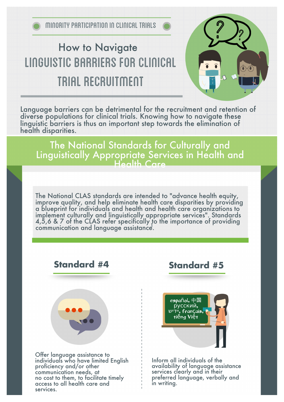# LINGUISTIC BARRIERS FOR CLINICAL TRIAL RECRUITMENT How to Navigate



Language barriers can be detrimental for the recruitment and retention of diverse populations for clinical trials. Knowing how to navigate these linguistic barriers is thus an important step towards the elimination of health disparities.

The National Standards for Culturally and Linguistically Appropriate Services in Health and Health Care

The National CLAS standards are intended to "advance health equity, improve quality, and help eliminate health care disparities by providing a blueprint for individuals and health and health care organizations to implement culturally and linguistically appropriate services". Standards 4,5,6 & 7 of the CLAS refer specifically to the importance of providing communication and language assistance. 1



proficiency and/or other communication needs, at no cost to them, to facilitate timely access to all health care and services.

### **Standard #5**



Inform all individuals of the availability of language assistance services clearly and in their preferred language, verbally and in writing.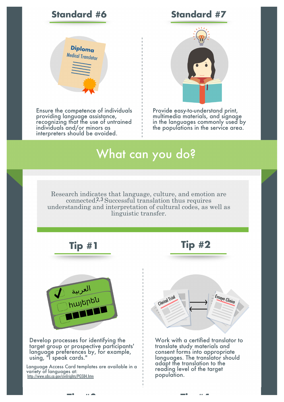#### **Standard #6 Standard #7**



Ensure the competence of individuals providing language assistance, recognizing that the use of untrained individuals and/or minors as interpreters should be avoided.



Provide easy-to-understand print, multimedia materials, and signage in the languages commonly used by the populations in the service area.

## What can you do?

Research indicates that language, culture, and emotion are connected.<sup>2,3</sup> Successful translation thus requires understanding and interpretation of cultural codes, as well as linguistic transfer.

**Tip #3 Tip #4**





Develop processes for identifying the target group or prospective participants' language preferences by, for example, using, "I speak cards."

Language Access Card templates are available in a variety of languages at: <http://www.cdss.ca.gov/civilrights/PG584.htm>





Work with a certified translator to translate study materials and consent forms into appropriate languages. The translator should adapt the translation to the reading level of the target population.